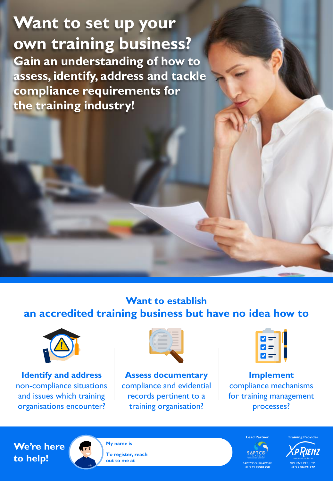**Want to set up your own training business? Gain an understanding of how to assess, identify, address and tackle compliance requirements for the training industry!**

## **Want to establish an accredited training business but have no idea how to**



**Identify and address** non-compliance situations and issues which training organisations encounter?



**Assess documentary** compliance and evidential records pertinent to a training organisation?



**Implement** compliance mechanisms for training management processes?





**My name is To register, reach out to me at**

**SAPTCO** SAPTCO SINGAPORE UEN **T15SS0155K**